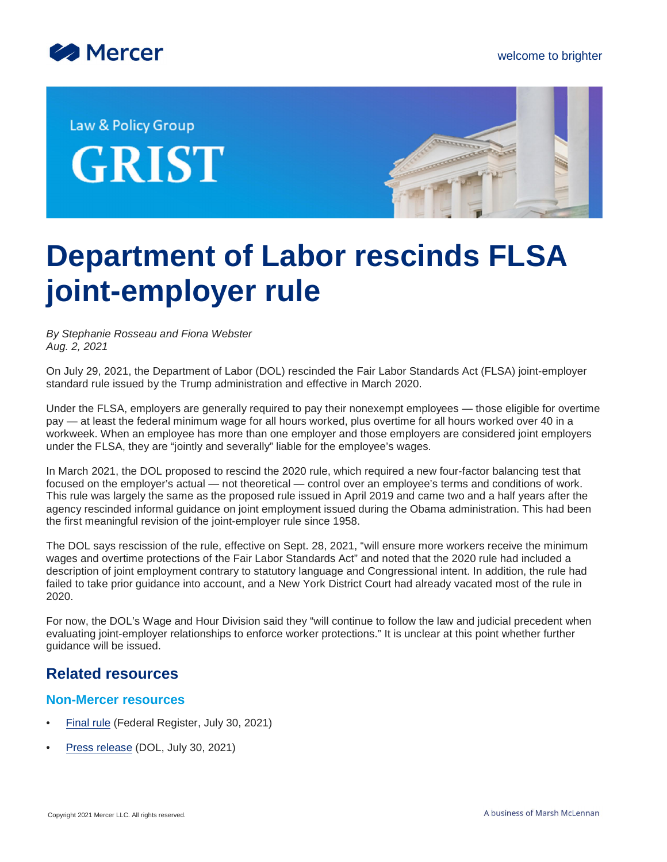

Law & Policy Group **GRIST** 



## **Department of Labor rescinds FLSA joint-employer rule**

*By Stephanie Rosseau and Fiona Webster Aug. 2, 2021*

On July 29, 2021, the Department of Labor (DOL) rescinded the Fair Labor Standards Act (FLSA) joint-employer standard rule issued by the Trump administration and effective in March 2020.

Under the FLSA, employers are generally required to pay their nonexempt employees — those eligible for overtime pay — at least the federal minimum wage for all hours worked, plus overtime for all hours worked over 40 in a workweek. When an employee has more than one employer and those employers are considered joint employers under the FLSA, they are "jointly and severally" liable for the employee's wages.

In March 2021, the DOL proposed to rescind the 2020 rule, which required a new four-factor balancing test that focused on the employer's actual — not theoretical — control over an employee's terms and conditions of work. This rule was largely the same as the proposed rule issued in April 2019 and came two and a half years after the agency rescinded informal guidance on joint employment issued during the Obama administration. This had been the first meaningful revision of the joint-employer rule since 1958.

The DOL says rescission of the rule, effective on Sept. 28, 2021, "will ensure more workers receive the minimum wages and overtime protections of the Fair Labor Standards Act" and noted that the 2020 rule had included a description of joint employment contrary to statutory language and Congressional intent. In addition, the rule had failed to take prior guidance into account, and a New York District Court had already vacated most of the rule in 2020.

For now, the DOL's Wage and Hour Division said they "will continue to follow the law and judicial precedent when evaluating joint-employer relationships to enforce worker protections." It is unclear at this point whether further guidance will be issued.

## **Related resources**

## **Non-Mercer resources**

- [Final rule](https://www.federalregister.gov/documents/2021/07/30/2021-15316/rescission-of-joint-employer-status-under-the-fair-labor-standards-act-rule) (Federal Register, July 30, 2021)
- [Press release](https://www.dol.gov/newsroom/releases/whd/whd20210729-0) (DOL, July 30, 2021)